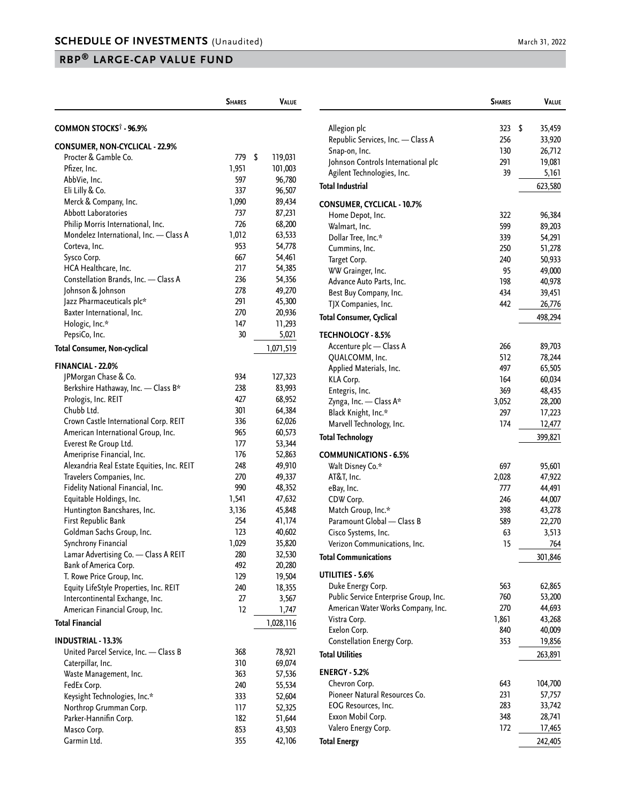## **RBP® LARGE-CAP VALUE FUND**

|                                                          | <b>SHARES</b> | <b>VALUE</b>  |
|----------------------------------------------------------|---------------|---------------|
| COMMON STOCKS <sup>†</sup> - 96.9%                       |               |               |
| <b>CONSUMER, NON-CYCLICAL - 22.9%</b>                    |               |               |
| Procter & Gamble Co.                                     | 779           | \$<br>119,031 |
| Pfizer, Inc.                                             | 1,951         | 101,003       |
| AbbVie, Inc.                                             | 597           | 96,780        |
| Eli Lilly & Co.                                          | 337           | 96,507        |
| Merck & Company, Inc.                                    | 1,090         | 89,434        |
| <b>Abbott Laboratories</b>                               | 737           | 87,231        |
| Philip Morris International, Inc.                        | 726           | 68,200        |
| Mondelez International, Inc. - Class A                   | 1,012         | 63,533        |
| Corteva, Inc.                                            | 953           | 54,778        |
|                                                          | 667           | 54,461        |
| Sysco Corp.                                              |               |               |
| HCA Healthcare, Inc.                                     | 217           | 54,385        |
| Constellation Brands, Inc. - Class A                     | 236           | 54,356        |
| Johnson & Johnson                                        | 278           | 49,270        |
| Jazz Pharmaceuticals plc*                                | 291           | 45,300        |
| Baxter International, Inc.                               | 270           | 20,936        |
| Hologic, Inc.*                                           | 147           | 11,293        |
| PepsiCo, Inc.                                            | 30            | 5,021         |
| <b>Total Consumer, Non-cyclical</b>                      |               | 1,071,519     |
| <b>FINANCIAL - 22.0%</b>                                 |               |               |
| JPMorgan Chase & Co.                                     | 934           | 127,323       |
| Berkshire Hathaway, Inc. - Class B*                      | 238           | 83,993        |
| Prologis, Inc. REIT                                      | 427           | 68,952        |
| Chubb Ltd.                                               | 301           | 64,384        |
| Crown Castle International Corp. REIT                    | 336           | 62,026        |
| American International Group, Inc.                       | 965           | 60,573        |
| Everest Re Group Ltd.                                    | 177           | 53,344        |
| Ameriprise Financial, Inc.                               | 176           | 52,863        |
| Alexandria Real Estate Equities, Inc. REIT               | 248           | 49,910        |
| Travelers Companies, Inc.                                | 270           | 49,337        |
| Fidelity National Financial, Inc.                        | 990           | 48,352        |
| Equitable Holdings, Inc.                                 | 1,541         | 47,632        |
| Huntington Bancshares, Inc.                              | 3,136         | 45,848        |
| First Republic Bank                                      | 254           | 41,174        |
| Goldman Sachs Group, Inc.                                | 123           | 40,602        |
| Synchrony Financial                                      | 1,029         | 35,820        |
| Lamar Advertising Co. - Class A REIT                     | 280           | 32,530        |
|                                                          | 492           |               |
| Bank of America Corp.                                    |               | 20,280        |
| T. Rowe Price Group, Inc.                                | 129           | 19,504        |
| Equity LifeStyle Properties, Inc. REIT                   | 240           | 18,355        |
| Intercontinental Exchange, Inc.                          | 27            | 3,567         |
| American Financial Group, Inc.<br><b>Total Financial</b> | 12            | 1,747         |
|                                                          |               | 1,028,116     |
| <b>INDUSTRIAL - 13.3%</b>                                |               |               |
| United Parcel Service, Inc. - Class B                    | 368           | 78,921        |
| Caterpillar, Inc.                                        | 310           | 69,074        |
| Waste Management, Inc.                                   | 363           | 57,536        |
| FedEx Corp.                                              | 240           | 55,534        |
| Keysight Technologies, Inc.*                             | 333           | 52,604        |
| Northrop Grumman Corp.                                   | 117           | 52,325        |
| Parker-Hannifin Corp.                                    | 182           | 51,644        |
| Masco Corp.                                              | 853           | 43,503        |
| Garmin Ltd.                                              | 355           | 42,106        |

|                                       | <b>SHARES</b> | VALUE        |
|---------------------------------------|---------------|--------------|
|                                       |               |              |
| Allegion plc                          | 323           | \$<br>35,459 |
| Republic Services, Inc. - Class A     | 256           | 33,920       |
| Snap-on, Inc.                         | 130           | 26,712       |
| Johnson Controls International plc    | 291           | 19,081       |
| Agilent Technologies, Inc.            | 39            | 5,161        |
| <b>Total Industrial</b>               |               | 623,580      |
| CONSUMER, CYCLICAL - 10.7%            |               |              |
| Home Depot, Inc.                      | 322           | 96,384       |
| Walmart, Inc.                         | 599           | 89,203       |
| Dollar Tree, Inc.*                    | 339           | 54,291       |
| Cummins, Inc.                         | 250           | 51,278       |
| Target Corp.                          | 240           | 50,933       |
| WW Grainger, Inc.                     | 95            | 49,000       |
| Advance Auto Parts, Inc.              | 198           | 40,978       |
| Best Buy Company, Inc.                | 434           | 39,451       |
| TJX Companies, Inc.                   | 442           | 26,776       |
| Total Consumer, Cyclical              |               | 498,294      |
| <b>TECHNOLOGY - 8.5%</b>              |               |              |
| Accenture plc - Class A               | 266           | 89,703       |
| QUALCOMM, Inc.                        | 512           | 78,244       |
| Applied Materials, Inc.               | 497           | 65,505       |
| KLA Corp.                             | 164           | 60,034       |
| Entegris, Inc.                        | 369           | 48,435       |
| Zynga, Inc. - Class A*                | 3,052         | 28,200       |
| Black Knight, Inc.*                   | 297           | 17,223       |
| Marvell Technology, Inc.              | 174           | 12,477       |
| Total Technology                      |               | 399,821      |
| <b>COMMUNICATIONS - 6.5%</b>          |               |              |
| Walt Disney Co.*                      | 697           | 95,601       |
| AT&T, Inc.                            | 2,028         | 47,922       |
| eBay, Inc.                            | 777           | 44,491       |
| CDW Corp.                             | 246           | 44,007       |
| Match Group, Inc.*                    | 398           | 43,278       |
| Paramount Global - Class B            | 589           | 22,270       |
| Cisco Systems, Inc.                   | 63            | 3,513        |
| Verizon Communications, Inc.          | 15            | 764          |
| <b>Total Communications</b>           |               | 301,846      |
| UTILITIES - 5.6%                      |               |              |
| Duke Energy Corp.                     | 563           | 62,865       |
| Public Service Enterprise Group, Inc. | 760           | 53,200       |
| American Water Works Company, Inc.    | 270           | 44,693       |
| Vistra Corp.                          | 1,861         | 43,268       |
| Exelon Corp.                          | 840           | 40,009       |
| Constellation Energy Corp.            | 353           | 19,856       |
| <b>Total Utilities</b>                |               | 263,891      |
| <b>ENERGY - 5.2%</b>                  |               |              |
| Chevron Corp.                         | 643           | 104,700      |
| Pioneer Natural Resources Co.         | 231           | 57,757       |
| EOG Resources, Inc.                   | 283           | 33,742       |
| Exxon Mobil Corp.                     | 348           | 28,741       |
| Valero Energy Corp.                   | 172           | 17,465       |
| <b>Total Energy</b>                   |               | 242,405      |
|                                       |               |              |